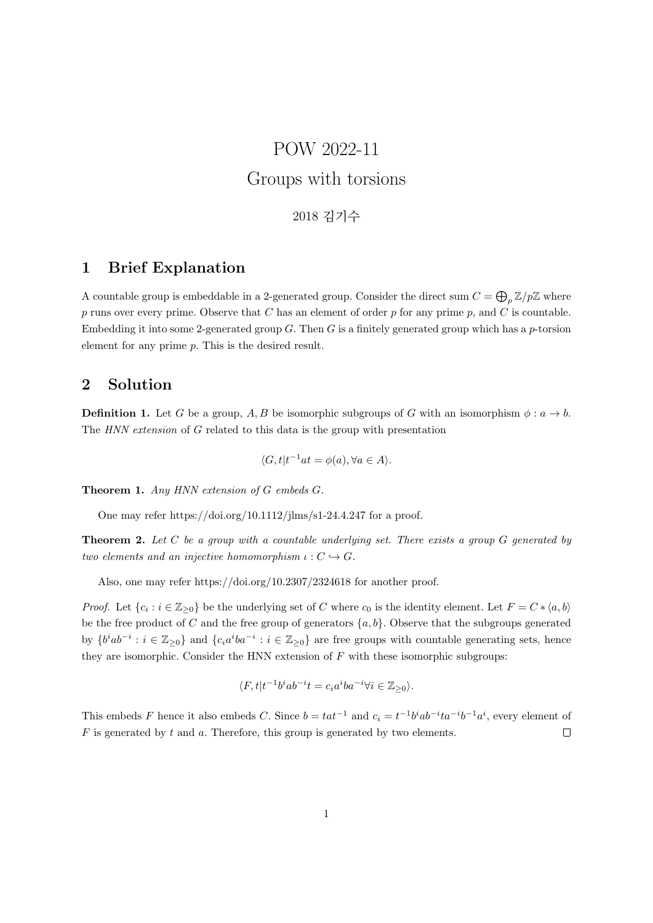## POW 2022-11 Groups with torsions

2018 김기수

## 1 Brief Explanation

A countable group is embeddable in a 2-generated group. Consider the direct sum  $C = \bigoplus_p \mathbb{Z}/p\mathbb{Z}$  where p runs over every prime. Observe that C has an element of order p for any prime p, and C is countable. Embedding it into some 2-generated group  $G$ . Then  $G$  is a finitely generated group which has a p-torsion element for any prime p. This is the desired result.

## 2 Solution

**Definition 1.** Let G be a group, A, B be isomorphic subgroups of G with an isomorphism  $\phi : a \to b$ . The HNN extension of G related to this data is the group with presentation

$$
\langle G, t | t^{-1}at = \phi(a), \forall a \in A \rangle.
$$

Theorem 1. Any HNN extension of G embeds G.

One may refer https://doi.org/10.1112/jlms/s1-24.4.247 for a proof.

**Theorem 2.** Let C be a group with a countable underlying set. There exists a group G generated by two elements and an injective homomorphism  $\iota : C \hookrightarrow G$ .

Also, one may refer https://doi.org/10.2307/2324618 for another proof.

*Proof.* Let  $\{c_i : i \in \mathbb{Z}_{\geq 0}\}$  be the underlying set of C where  $c_0$  is the identity element. Let  $F = C * \langle a, b \rangle$ be the free product of C and the free group of generators  $\{a, b\}$ . Observe that the subgroups generated by  $\{b^iab^{-i}:i\in\mathbb{Z}_{\geq0}\}\$  and  $\{c_ia^iba^{-i}:i\in\mathbb{Z}_{\geq0}\}\$  are free groups with countable generating sets, hence they are isomorphic. Consider the HNN extension of  $F$  with these isomorphic subgroups:

$$
\langle F, t | t^{-1} b^i a b^{-i} t = c_i a^i b a^{-i} \forall i \in \mathbb{Z}_{\geq 0} \rangle.
$$

This embeds F hence it also embeds C. Since  $b = tat^{-1}$  and  $c_i = t^{-1}b^iab^{-i}ta^{-i}b^{-1}a^i$ , every element of  $F$  is generated by  $t$  and  $a$ . Therefore, this group is generated by two elements.  $\Box$